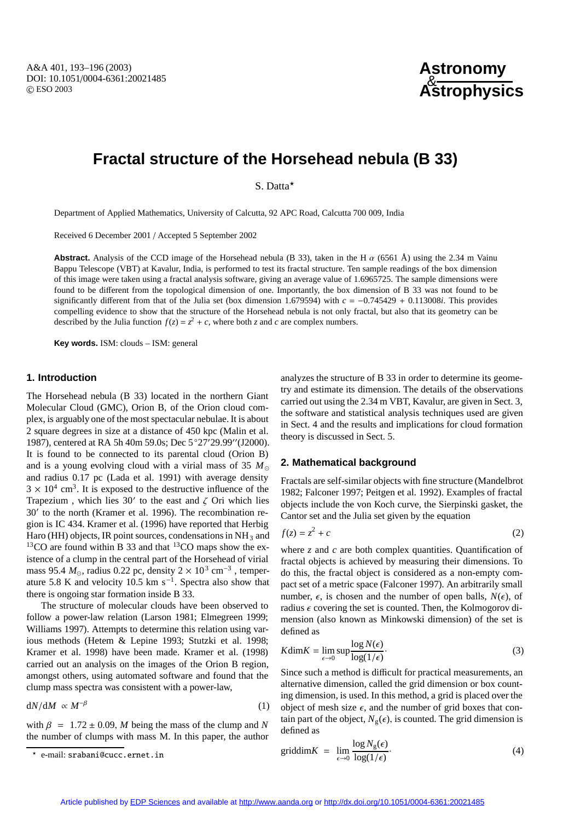# **Astronomy** & **Astrophysics**

# **Fractal structure of the Horsehead nebula (B 33)**

S. Datta<sup>\*</sup>

Department of Applied Mathematics, University of Calcutta, 92 APC Road, Calcutta 700 009, India

Received 6 December 2001 / Accepted 5 September 2002

**Abstract.** Analysis of the CCD image of the Horsehead nebula (B 33), taken in the H  $\alpha$  (6561 Å) using the 2.34 m Vainu Bappu Telescope (VBT) at Kavalur, India, is performed to test its fractal structure. Ten sample readings of the box dimension of this image were taken using a fractal analysis software, giving an average value of 1.6965725. The sample dimensions were found to be different from the topological dimension of one. Importantly, the box dimension of B 33 was not found to be significantly different from that of the Julia set (box dimension 1.679594) with *c* = −0.745429 + 0.113008*i*. This provides compelling evidence to show that the structure of the Horsehead nebula is not only fractal, but also that its geometry can be described by the Julia function  $f(z) = z^2 + c$ , where both *z* and *c* are complex numbers.

**Key words.** ISM: clouds – ISM: general

# **1. Introduction**

The Horsehead nebula (B 33) located in the northern Giant Molecular Cloud (GMC), Orion B, of the Orion cloud complex, is arguably one of the most spectacular nebulae. It is about 2 square degrees in size at a distance of 450 kpc (Malin et al. 1987), centered at RA 5h 40m 59.0s; Dec 5°27'29.99" (J2000). It is found to be connected to its parental cloud (Orion B) and is a young evolving cloud with a virial mass of 35 *M* and radius 0.17 pc (Lada et al. 1991) with average density  $3 \times 10^4$  cm<sup>3</sup>. It is exposed to the destructive influence of the Trapezium , which lies  $30'$  to the east and  $\zeta$  Ori which lies 30' to the north (Kramer et al. 1996). The recombination region is IC 434. Kramer et al. (1996) have reported that Herbig Haro (HH) objects, IR point sources, condensations in  $NH<sub>3</sub>$  and  $13$ CO are found within B 33 and that  $13$ CO maps show the existence of a clump in the central part of the Horsehead of virial mass 95.4  $M_{\odot}$ , radius 0.22 pc, density 2 × 10<sup>3</sup> cm<sup>-3</sup>, temperature 5.8 K and velocity 10.5 km s<sup> $-1$ </sup>. Spectra also show that there is ongoing star formation inside B 33.

The structure of molecular clouds have been observed to follow a power-law relation (Larson 1981; Elmegreen 1999; Williams 1997). Attempts to determine this relation using various methods (Hetem & Lepine 1993; Stutzki et al. 1998; Kramer et al. 1998) have been made. Kramer et al. (1998) carried out an analysis on the images of the Orion B region, amongst others, using automated software and found that the clump mass spectra was consistent with a power-law,

$$
dN/dM \propto M^{-\beta} \tag{1}
$$

with  $\beta = 1.72 \pm 0.09$ , *M* being the mass of the clump and *N* the number of clumps with mass M. In this paper, the author analyzes the structure of B 33 in order to determine its geometry and estimate its dimension. The details of the observations carried out using the 2.34 m VBT, Kavalur, are given in Sect. 3, the software and statistical analysis techniques used are given in Sect. 4 and the results and implications for cloud formation theory is discussed in Sect. 5.

# **2. Mathematical background**

Fractals are self-similar objects with fine structure (Mandelbrot 1982; Falconer 1997; Peitgen et al. 1992). Examples of fractal objects include the von Koch curve, the Sierpinski gasket, the Cantor set and the Julia set given by the equation

$$
f(z) = z^2 + c \tag{2}
$$

where  $z$  and  $c$  are both complex quantities. Quantification of fractal objects is achieved by measuring their dimensions. To do this, the fractal object is considered as a non-empty compact set of a metric space (Falconer 1997). An arbitrarily small number,  $\epsilon$ , is chosen and the number of open balls,  $N(\epsilon)$ , of radius  $\epsilon$  covering the set is counted. Then, the Kolmogorov dimension (also known as Minkowski dimension) of the set is defined as

$$
K\dim K = \lim_{\epsilon \to 0} \sup \frac{\log N(\epsilon)}{\log(1/\epsilon)}.
$$
 (3)

Since such a method is difficult for practical measurements, an alternative dimension, called the grid dimension or box counting dimension, is used. In this method, a grid is placed over the object of mesh size  $\epsilon$ , and the number of grid boxes that contain part of the object,  $N_g(\epsilon)$ , is counted. The grid dimension is defined as

$$
\text{griddim} K = \lim_{\epsilon \to 0} \frac{\log N_g(\epsilon)}{\log(1/\epsilon)}.
$$
\n(4)

e-mail: srabani@cucc.ernet.in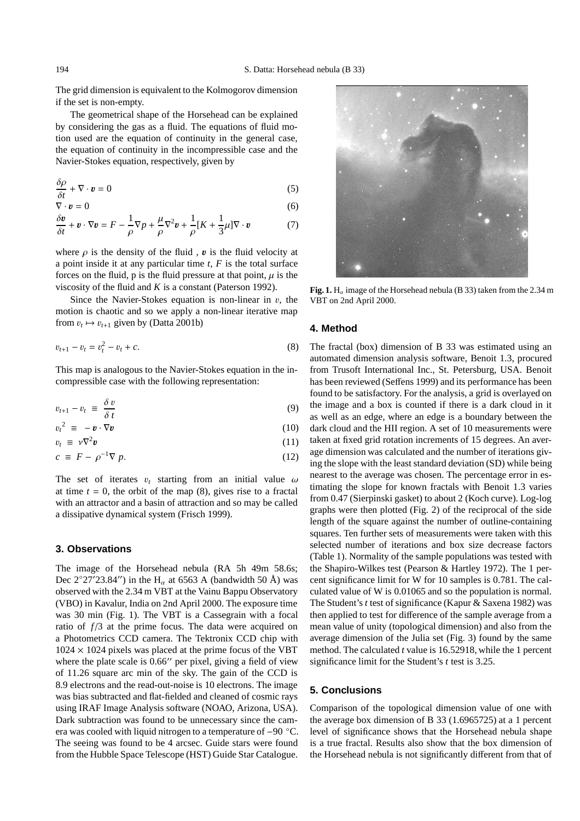The grid dimension is equivalent to the Kolmogorov dimension if the set is non-empty.

The geometrical shape of the Horsehead can be explained by considering the gas as a fluid. The equations of fluid motion used are the equation of continuity in the general case, the equation of continuity in the incompressible case and the Navier-Stokes equation, respectively, given by

$$
\frac{\delta \rho}{\delta t} + \nabla \cdot \mathbf{v} = 0 \tag{5}
$$

$$
\nabla \cdot \mathbf{v} = 0 \tag{6}
$$
  
\n
$$
\frac{\delta \mathbf{v}}{\delta t} + \mathbf{v} \cdot \nabla \mathbf{v} = F - \frac{1}{\rho} \nabla p + \frac{\mu}{\rho} \nabla^2 \mathbf{v} + \frac{1}{\rho} [K + \frac{1}{3} \mu] \nabla \cdot \mathbf{v} \tag{7}
$$

where  $\rho$  is the density of the fluid,  $\boldsymbol{v}$  is the fluid velocity at a point inside it at any particular time *t*, *F* is the total surface forces on the fluid, p is the fluid pressure at that point,  $\mu$  is the viscosity of the fluid and *K* is a constant (Paterson 1992).

Since the Navier-Stokes equation is non-linear in  $v$ , the motion is chaotic and so we apply a non-linear iterative map from  $v_t \mapsto v_{t+1}$  given by (Datta 2001b)

$$
v_{t+1} - v_t = v_t^2 - v_t + c.
$$
 (8)

This map is analogous to the Navier-Stokes equation in the incompressible case with the following representation:

$$
v_{t+1} - v_t \equiv \frac{\delta v}{\delta t} \tag{9}
$$

$$
v_t^2 \equiv -\boldsymbol{v} \cdot \nabla \boldsymbol{v} \tag{10}
$$

$$
v_t \equiv \nu \nabla^2 \mathbf{v}
$$
\n
$$
c \equiv F - \rho^{-1} \nabla p.
$$
\n(11)\n(12)

The set of iterates  $v_t$  starting from an initial value  $\omega$ at time  $t = 0$ , the orbit of the map  $(8)$ , gives rise to a fractal with an attractor and a basin of attraction and so may be called a dissipative dynamical system (Frisch 1999).

#### **3. Observations**

The image of the Horsehead nebula (RA 5h 49m 58.6s; Dec 2°27′23.84″) in the H<sub>α</sub> at 6563 A (bandwidth 50 Å) was observed with the 2.34 m VBT at the Vainu Bappu Observatory (VBO) in Kavalur, India on 2nd April 2000. The exposure time was 30 min (Fig. 1). The VBT is a Cassegrain with a focal ratio of  $f/3$  at the prime focus. The data were acquired on a Photometrics CCD camera. The Tektronix CCD chip with  $1024 \times 1024$  pixels was placed at the prime focus of the VBT where the plate scale is  $0.66''$  per pixel, giving a field of view of 11.26 square arc min of the sky. The gain of the CCD is 8.9 electrons and the read-out-noise is 10 electrons. The image was bias subtracted and flat-fielded and cleaned of cosmic rays using IRAF Image Analysis software (NOAO, Arizona, USA). Dark subtraction was found to be unnecessary since the camera was cooled with liquid nitrogen to a temperature of −90 ◦C. The seeing was found to be 4 arcsec. Guide stars were found from the Hubble Space Telescope (HST) Guide Star Catalogue.



**Fig. 1.** H<sub>α</sub> image of the Horsehead nebula (B 33) taken from the 2.34 m VBT on 2nd April 2000.

### **4. Method**

The fractal (box) dimension of B 33 was estimated using an automated dimension analysis software, Benoit 1.3, procured from Trusoft International Inc., St. Petersburg, USA. Benoit has been reviewed (Seffens 1999) and its performance has been found to be satisfactory. For the analysis, a grid is overlayed on the image and a box is counted if there is a dark cloud in it as well as an edge, where an edge is a boundary between the dark cloud and the HII region. A set of 10 measurements were taken at fixed grid rotation increments of 15 degrees. An average dimension was calculated and the number of iterations giving the slope with the least standard deviation (SD) while being nearest to the average was chosen. The percentage error in estimating the slope for known fractals with Benoit 1.3 varies from 0.47 (Sierpinski gasket) to about 2 (Koch curve). Log-log graphs were then plotted (Fig. 2) of the reciprocal of the side length of the square against the number of outline-containing squares. Ten further sets of measurements were taken with this selected number of iterations and box size decrease factors (Table 1). Normality of the sample populations was tested with the Shapiro-Wilkes test (Pearson & Hartley 1972). The 1 percent significance limit for W for 10 samples is 0.781. The calculated value of W is 0.01065 and so the population is normal. The Student's *t* test of significance (Kapur & Saxena 1982) was then applied to test for difference of the sample average from a mean value of unity (topological dimension) and also from the average dimension of the Julia set (Fig. 3) found by the same method. The calculated *t* value is 16.52918, while the 1 percent significance limit for the Student's *t* test is 3.25.

# **5. Conclusions**

Comparison of the topological dimension value of one with the average box dimension of B 33 (1.6965725) at a 1 percent level of significance shows that the Horsehead nebula shape is a true fractal. Results also show that the box dimension of the Horsehead nebula is not significantly different from that of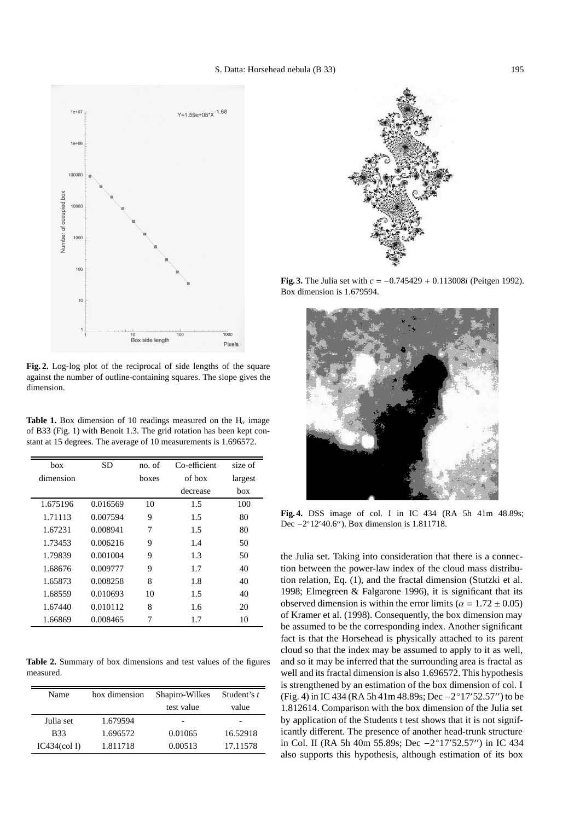

**Fig. 2.** Log-log plot of the reciprocal of side lengths of the square against the number of outline-containing squares. The slope gives the dimension.

**Table 1.** Box dimension of 10 readings measured on the  $H_\alpha$  image of B33 (Fig. 1) with Benoit 1.3. The grid rotation has been kept constant at 15 degrees. The average of 10 measurements is 1.696572.

| box       | <b>SD</b> | no. of | Co-efficient | size of |
|-----------|-----------|--------|--------------|---------|
| dimension |           | boxes  | of box       | largest |
|           |           |        | decrease     | box     |
| 1.675196  | 0.016569  | 10     | 1.5          | 100     |
| 1.71113   | 0.007594  | 9      | 1.5          | 80      |
| 1.67231   | 0.008941  | 7      | 1.5          | 80      |
| 1.73453   | 0.006216  | 9      | 1.4          | 50      |
| 1.79839   | 0.001004  | 9      | 1.3          | 50      |
| 1.68676   | 0.009777  | 9      | 1.7          | 40      |
| 1.65873   | 0.008258  | 8      | 1.8          | 40      |
| 1.68559   | 0.010693  | 10     | 1.5          | 40      |
| 1.67440   | 0.010112  | 8      | 1.6          | 20      |
| 1.66869   | 0.008465  | 7      | 1.7          | 10      |

**Table 2.** Summary of box dimensions and test values of the figures measured.

| Name                                 | box dimension | Shapiro-Wilkes<br>test value | Student's t<br>value |
|--------------------------------------|---------------|------------------------------|----------------------|
| Julia set                            | 1.679594      |                              |                      |
| <b>B</b> 33                          | 1.696572      | 0.01065                      | 16.52918             |
| IC434 $\left(\text{col} \, I\right)$ | 1.811718      | 0.00513                      | 17.11578             |



**Fig. 3.** The Julia set with *c* = −0.745429 + 0.113008*i* (Peitgen 1992). Box dimension is 1.679594.



**Fig. 4.** DSS image of col. I in IC 434 (RA 5h 41m 48.89s; Dec  $-2^{\circ}12'40.6''$ ). Box dimension is 1.811718.

the Julia set. Taking into consideration that there is a connection between the power-law index of the cloud mass distribution relation, Eq. (1), and the fractal dimension (Stutzki et al. 1998; Elmegreen & Falgarone 1996), it is significant that its observed dimension is within the error limits ( $\alpha = 1.72 \pm 0.05$ ) of Kramer et al. (1998). Consequently, the box dimension may be assumed to be the corresponding index. Another significant fact is that the Horsehead is physically attached to its parent cloud so that the index may be assumed to apply to it as well, and so it may be inferred that the surrounding area is fractal as well and its fractal dimension is also 1.696572. This hypothesis is strengthened by an estimation of the box dimension of col. I (Fig. 4) in IC 434 (RA 5h 41m 48.89s; Dec –2°17′52.57″) to be 1.812614. Comparison with the box dimension of the Julia set by application of the Students t test shows that it is not significantly different. The presence of another head-trunk structure in Col. II (RA 5h 40m 55.89s; Dec -2°17′52.57″) in IC 434 also supports this hypothesis, although estimation of its box